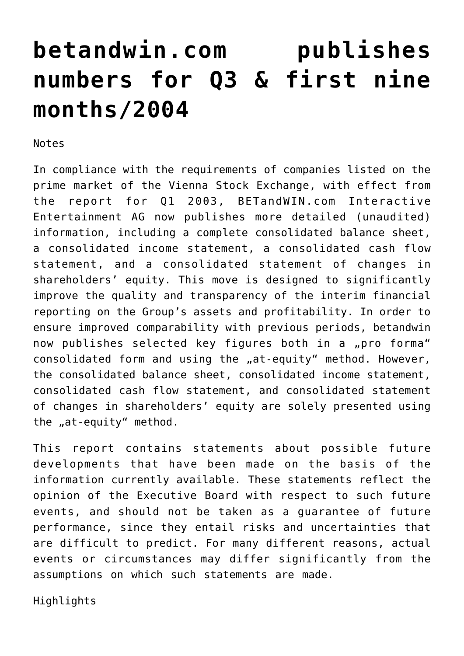# **[betandwin.com publishes](https://www.isa-guide.de/english-news/articles/7521.html) [numbers for Q3 & first nine](https://www.isa-guide.de/english-news/articles/7521.html) [months/2004](https://www.isa-guide.de/english-news/articles/7521.html)**

Notes

In compliance with the requirements of companies listed on the prime market of the Vienna Stock Exchange, with effect from the report for Q1 2003, BETandWIN.com Interactive Entertainment AG now publishes more detailed (unaudited) information, including a complete consolidated balance sheet, a consolidated income statement, a consolidated cash flow statement, and a consolidated statement of changes in shareholders' equity. This move is designed to significantly improve the quality and transparency of the interim financial reporting on the Group's assets and profitability. In order to ensure improved comparability with previous periods, betandwin now publishes selected key figures both in a "pro forma" consolidated form and using the "at-equity" method. However, the consolidated balance sheet, consolidated income statement, consolidated cash flow statement, and consolidated statement of changes in shareholders' equity are solely presented using the "at-equity" method.

This report contains statements about possible future developments that have been made on the basis of the information currently available. These statements reflect the opinion of the Executive Board with respect to such future events, and should not be taken as a guarantee of future performance, since they entail risks and uncertainties that are difficult to predict. For many different reasons, actual events or circumstances may differ significantly from the assumptions on which such statements are made.

Highlights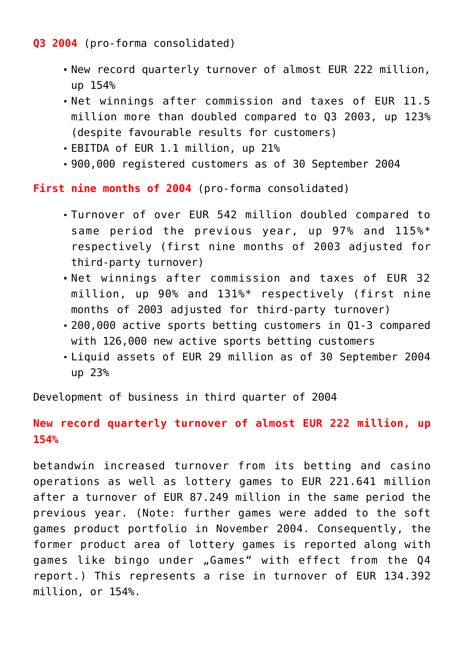### **Q3 2004** (pro-forma consolidated)

- New record quarterly turnover of almost EUR 222 million, up 154%
- Net winnings after commission and taxes of EUR 11.5 million more than doubled compared to Q3 2003, up 123% (despite favourable results for customers)
- EBITDA of EUR 1.1 million, up 21%
- 900,000 registered customers as of 30 September 2004

**First nine months of 2004** (pro-forma consolidated)

- Turnover of over EUR 542 million doubled compared to same period the previous year, up 97% and 115%\* respectively (first nine months of 2003 adjusted for third-party turnover)
- Net winnings after commission and taxes of EUR 32 million, up 90% and 131%\* respectively (first nine months of 2003 adjusted for third-party turnover)
- 200,000 active sports betting customers in Q1-3 compared with 126,000 new active sports betting customers
- Liquid assets of EUR 29 million as of 30 September 2004 up 23%

Development of business in third quarter of 2004

# **New record quarterly turnover of almost EUR 222 million, up 154%**

betandwin increased turnover from its betting and casino operations as well as lottery games to EUR 221.641 million after a turnover of EUR 87.249 million in the same period the previous year. (Note: further games were added to the soft games product portfolio in November 2004. Consequently, the former product area of lottery games is reported along with games like bingo under "Games" with effect from the Q4 report.) This represents a rise in turnover of EUR 134.392 million, or 154%.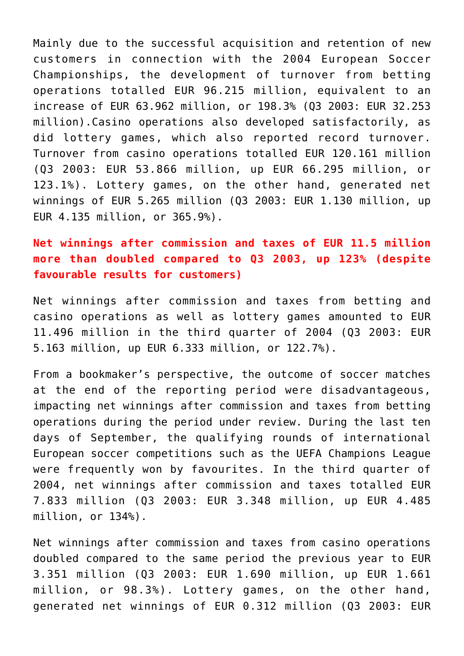Mainly due to the successful acquisition and retention of new customers in connection with the 2004 European Soccer Championships, the development of turnover from betting operations totalled EUR 96.215 million, equivalent to an increase of EUR 63.962 million, or 198.3% (Q3 2003: EUR 32.253 million).Casino operations also developed satisfactorily, as did lottery games, which also reported record turnover. Turnover from casino operations totalled EUR 120.161 million (Q3 2003: EUR 53.866 million, up EUR 66.295 million, or 123.1%). Lottery games, on the other hand, generated net winnings of EUR 5.265 million (Q3 2003: EUR 1.130 million, up EUR 4.135 million, or 365.9%).

**Net winnings after commission and taxes of EUR 11.5 million more than doubled compared to Q3 2003, up 123% (despite favourable results for customers)**

Net winnings after commission and taxes from betting and casino operations as well as lottery games amounted to EUR 11.496 million in the third quarter of 2004 (Q3 2003: EUR 5.163 million, up EUR 6.333 million, or 122.7%).

From a bookmaker's perspective, the outcome of soccer matches at the end of the reporting period were disadvantageous, impacting net winnings after commission and taxes from betting operations during the period under review. During the last ten days of September, the qualifying rounds of international European soccer competitions such as the UEFA Champions League were frequently won by favourites. In the third quarter of 2004, net winnings after commission and taxes totalled EUR 7.833 million (Q3 2003: EUR 3.348 million, up EUR 4.485 million, or 134%).

Net winnings after commission and taxes from casino operations doubled compared to the same period the previous year to EUR 3.351 million (Q3 2003: EUR 1.690 million, up EUR 1.661 million, or 98.3%). Lottery games, on the other hand, generated net winnings of EUR 0.312 million (Q3 2003: EUR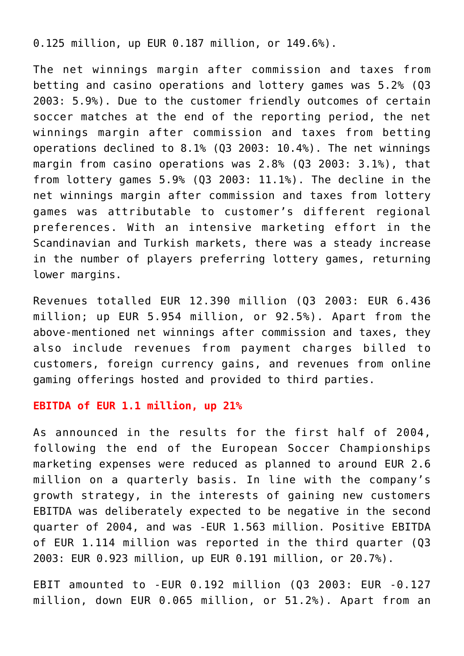0.125 million, up EUR 0.187 million, or 149.6%).

The net winnings margin after commission and taxes from betting and casino operations and lottery games was 5.2% (Q3 2003: 5.9%). Due to the customer friendly outcomes of certain soccer matches at the end of the reporting period, the net winnings margin after commission and taxes from betting operations declined to 8.1% (Q3 2003: 10.4%). The net winnings margin from casino operations was 2.8% (Q3 2003: 3.1%), that from lottery games 5.9% (Q3 2003: 11.1%). The decline in the net winnings margin after commission and taxes from lottery games was attributable to customer's different regional preferences. With an intensive marketing effort in the Scandinavian and Turkish markets, there was a steady increase in the number of players preferring lottery games, returning lower margins.

Revenues totalled EUR 12.390 million (Q3 2003: EUR 6.436 million; up EUR 5.954 million, or 92.5%). Apart from the above-mentioned net winnings after commission and taxes, they also include revenues from payment charges billed to customers, foreign currency gains, and revenues from online gaming offerings hosted and provided to third parties.

#### **EBITDA of EUR 1.1 million, up 21%**

As announced in the results for the first half of 2004, following the end of the European Soccer Championships marketing expenses were reduced as planned to around EUR 2.6 million on a quarterly basis. In line with the company's growth strategy, in the interests of gaining new customers EBITDA was deliberately expected to be negative in the second quarter of 2004, and was -EUR 1.563 million. Positive EBITDA of EUR 1.114 million was reported in the third quarter (Q3 2003: EUR 0.923 million, up EUR 0.191 million, or 20.7%).

EBIT amounted to -EUR 0.192 million (Q3 2003: EUR -0.127 million, down EUR 0.065 million, or 51.2%). Apart from an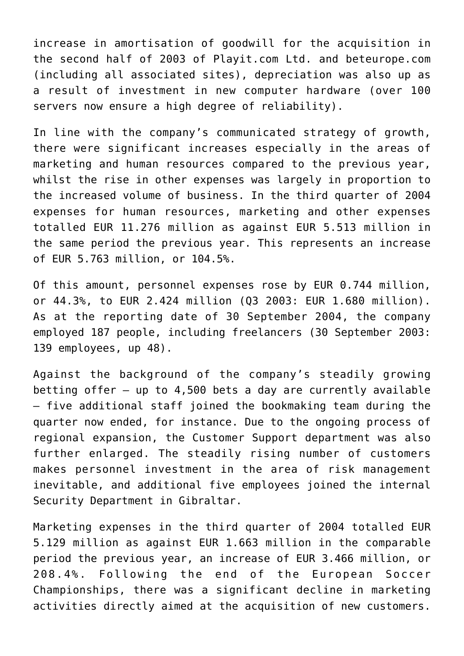increase in amortisation of goodwill for the acquisition in the second half of 2003 of Playit.com Ltd. and beteurope.com (including all associated sites), depreciation was also up as a result of investment in new computer hardware (over 100 servers now ensure a high degree of reliability).

In line with the company's communicated strategy of growth, there were significant increases especially in the areas of marketing and human resources compared to the previous year, whilst the rise in other expenses was largely in proportion to the increased volume of business. In the third quarter of 2004 expenses for human resources, marketing and other expenses totalled EUR 11.276 million as against EUR 5.513 million in the same period the previous year. This represents an increase of EUR 5.763 million, or 104.5%.

Of this amount, personnel expenses rose by EUR 0.744 million, or 44.3%, to EUR 2.424 million (Q3 2003: EUR 1.680 million). As at the reporting date of 30 September 2004, the company employed 187 people, including freelancers (30 September 2003: 139 employees, up 48).

Against the background of the company's steadily growing betting offer – up to 4,500 bets a day are currently available – five additional staff joined the bookmaking team during the quarter now ended, for instance. Due to the ongoing process of regional expansion, the Customer Support department was also further enlarged. The steadily rising number of customers makes personnel investment in the area of risk management inevitable, and additional five employees joined the internal Security Department in Gibraltar.

Marketing expenses in the third quarter of 2004 totalled EUR 5.129 million as against EUR 1.663 million in the comparable period the previous year, an increase of EUR 3.466 million, or 208.4%. Following the end of the European Soccer Championships, there was a significant decline in marketing activities directly aimed at the acquisition of new customers.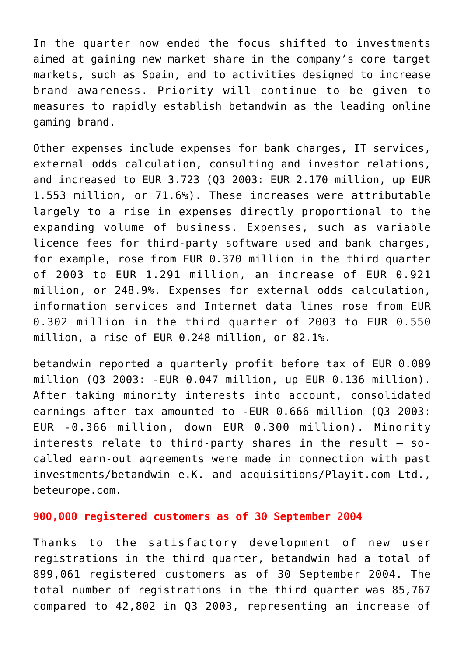In the quarter now ended the focus shifted to investments aimed at gaining new market share in the company's core target markets, such as Spain, and to activities designed to increase brand awareness. Priority will continue to be given to measures to rapidly establish betandwin as the leading online gaming brand.

Other expenses include expenses for bank charges, IT services, external odds calculation, consulting and investor relations, and increased to EUR 3.723 (Q3 2003: EUR 2.170 million, up EUR 1.553 million, or 71.6%). These increases were attributable largely to a rise in expenses directly proportional to the expanding volume of business. Expenses, such as variable licence fees for third-party software used and bank charges, for example, rose from EUR 0.370 million in the third quarter of 2003 to EUR 1.291 million, an increase of EUR 0.921 million, or 248.9%. Expenses for external odds calculation, information services and Internet data lines rose from EUR 0.302 million in the third quarter of 2003 to EUR 0.550 million, a rise of EUR 0.248 million, or 82.1%.

betandwin reported a quarterly profit before tax of EUR 0.089 million (Q3 2003: -EUR 0.047 million, up EUR 0.136 million). After taking minority interests into account, consolidated earnings after tax amounted to -EUR 0.666 million (Q3 2003: EUR -0.366 million, down EUR 0.300 million). Minority interests relate to third-party shares in the result  $-$  socalled earn-out agreements were made in connection with past investments/betandwin e.K. and acquisitions/Playit.com Ltd., beteurope.com.

#### **900,000 registered customers as of 30 September 2004**

Thanks to the satisfactory development of new user registrations in the third quarter, betandwin had a total of 899,061 registered customers as of 30 September 2004. The total number of registrations in the third quarter was 85,767 compared to 42,802 in Q3 2003, representing an increase of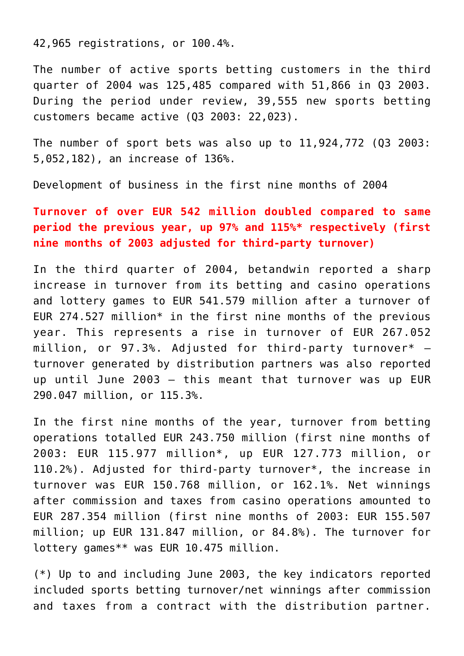42,965 registrations, or 100.4%.

The number of active sports betting customers in the third quarter of 2004 was 125,485 compared with 51,866 in Q3 2003. During the period under review, 39,555 new sports betting customers became active (Q3 2003: 22,023).

The number of sport bets was also up to 11,924,772 (Q3 2003: 5,052,182), an increase of 136%.

Development of business in the first nine months of 2004

# **Turnover of over EUR 542 million doubled compared to same period the previous year, up 97% and 115%\* respectively (first nine months of 2003 adjusted for third-party turnover)**

In the third quarter of 2004, betandwin reported a sharp increase in turnover from its betting and casino operations and lottery games to EUR 541.579 million after a turnover of EUR 274.527 million\* in the first nine months of the previous year. This represents a rise in turnover of EUR 267.052 million, or  $97.3$ %. Adjusted for third-party turnover\*  $$ turnover generated by distribution partners was also reported up until June 2003 – this meant that turnover was up EUR 290.047 million, or 115.3%.

In the first nine months of the year, turnover from betting operations totalled EUR 243.750 million (first nine months of 2003: EUR 115.977 million\*, up EUR 127.773 million, or 110.2%). Adjusted for third-party turnover\*, the increase in turnover was EUR 150.768 million, or 162.1%. Net winnings after commission and taxes from casino operations amounted to EUR 287.354 million (first nine months of 2003: EUR 155.507 million; up EUR 131.847 million, or 84.8%). The turnover for lottery games\*\* was EUR 10.475 million.

(\*) Up to and including June 2003, the key indicators reported included sports betting turnover/net winnings after commission and taxes from a contract with the distribution partner.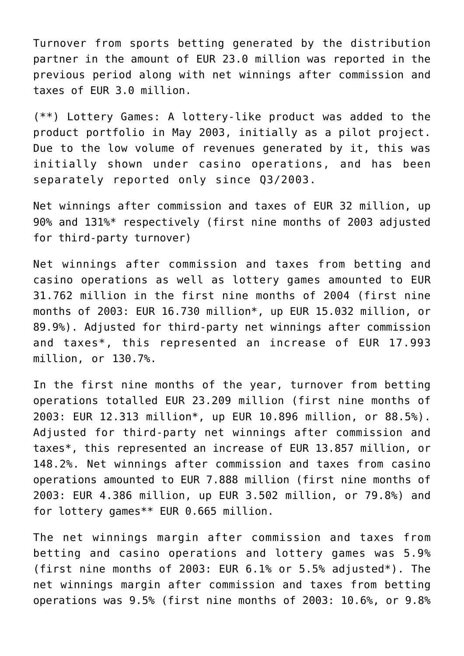Turnover from sports betting generated by the distribution partner in the amount of EUR 23.0 million was reported in the previous period along with net winnings after commission and taxes of EUR 3.0 million.

(\*\*) Lottery Games: A lottery-like product was added to the product portfolio in May 2003, initially as a pilot project. Due to the low volume of revenues generated by it, this was initially shown under casino operations, and has been separately reported only since Q3/2003.

Net winnings after commission and taxes of EUR 32 million, up 90% and 131%\* respectively (first nine months of 2003 adjusted for third-party turnover)

Net winnings after commission and taxes from betting and casino operations as well as lottery games amounted to EUR 31.762 million in the first nine months of 2004 (first nine months of 2003: EUR 16.730 million\*, up EUR 15.032 million, or 89.9%). Adjusted for third-party net winnings after commission and taxes\*, this represented an increase of EUR 17.993 million, or 130.7%.

In the first nine months of the year, turnover from betting operations totalled EUR 23.209 million (first nine months of 2003: EUR 12.313 million\*, up EUR 10.896 million, or 88.5%). Adjusted for third-party net winnings after commission and taxes\*, this represented an increase of EUR 13.857 million, or 148.2%. Net winnings after commission and taxes from casino operations amounted to EUR 7.888 million (first nine months of 2003: EUR 4.386 million, up EUR 3.502 million, or 79.8%) and for lottery games\*\* EUR 0.665 million.

The net winnings margin after commission and taxes from betting and casino operations and lottery games was 5.9% (first nine months of 2003: EUR 6.1% or 5.5% adjusted\*). The net winnings margin after commission and taxes from betting operations was 9.5% (first nine months of 2003: 10.6%, or 9.8%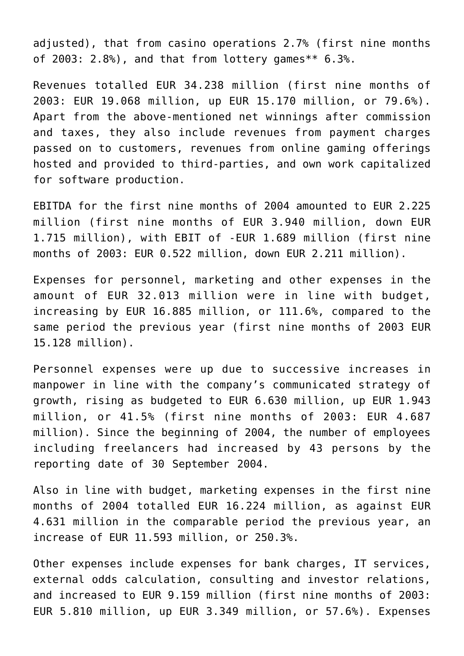adjusted), that from casino operations 2.7% (first nine months of 2003: 2.8%), and that from lottery games\*\* 6.3%.

Revenues totalled EUR 34.238 million (first nine months of 2003: EUR 19.068 million, up EUR 15.170 million, or 79.6%). Apart from the above-mentioned net winnings after commission and taxes, they also include revenues from payment charges passed on to customers, revenues from online gaming offerings hosted and provided to third-parties, and own work capitalized for software production.

EBITDA for the first nine months of 2004 amounted to EUR 2.225 million (first nine months of EUR 3.940 million, down EUR 1.715 million), with EBIT of -EUR 1.689 million (first nine months of 2003: EUR 0.522 million, down EUR 2.211 million).

Expenses for personnel, marketing and other expenses in the amount of EUR 32.013 million were in line with budget, increasing by EUR 16.885 million, or 111.6%, compared to the same period the previous year (first nine months of 2003 EUR 15.128 million).

Personnel expenses were up due to successive increases in manpower in line with the company's communicated strategy of growth, rising as budgeted to EUR 6.630 million, up EUR 1.943 million, or 41.5% (first nine months of 2003: EUR 4.687 million). Since the beginning of 2004, the number of employees including freelancers had increased by 43 persons by the reporting date of 30 September 2004.

Also in line with budget, marketing expenses in the first nine months of 2004 totalled EUR 16.224 million, as against EUR 4.631 million in the comparable period the previous year, an increase of EUR 11.593 million, or 250.3%.

Other expenses include expenses for bank charges, IT services, external odds calculation, consulting and investor relations, and increased to EUR 9.159 million (first nine months of 2003: EUR 5.810 million, up EUR 3.349 million, or 57.6%). Expenses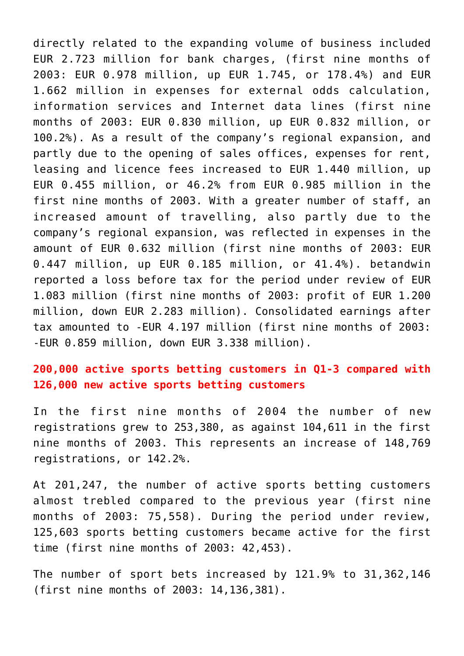directly related to the expanding volume of business included EUR 2.723 million for bank charges, (first nine months of 2003: EUR 0.978 million, up EUR 1.745, or 178.4%) and EUR 1.662 million in expenses for external odds calculation, information services and Internet data lines (first nine months of 2003: EUR 0.830 million, up EUR 0.832 million, or 100.2%). As a result of the company's regional expansion, and partly due to the opening of sales offices, expenses for rent, leasing and licence fees increased to EUR 1.440 million, up EUR 0.455 million, or 46.2% from EUR 0.985 million in the first nine months of 2003. With a greater number of staff, an increased amount of travelling, also partly due to the company's regional expansion, was reflected in expenses in the amount of EUR 0.632 million (first nine months of 2003: EUR 0.447 million, up EUR 0.185 million, or 41.4%). betandwin reported a loss before tax for the period under review of EUR 1.083 million (first nine months of 2003: profit of EUR 1.200 million, down EUR 2.283 million). Consolidated earnings after tax amounted to -EUR 4.197 million (first nine months of 2003: -EUR 0.859 million, down EUR 3.338 million).

# **200,000 active sports betting customers in Q1-3 compared with 126,000 new active sports betting customers**

In the first nine months of 2004 the number of new registrations grew to 253,380, as against 104,611 in the first nine months of 2003. This represents an increase of 148,769 registrations, or 142.2%.

At 201,247, the number of active sports betting customers almost trebled compared to the previous year (first nine months of 2003: 75,558). During the period under review, 125,603 sports betting customers became active for the first time (first nine months of 2003: 42,453).

The number of sport bets increased by 121.9% to 31,362,146 (first nine months of 2003: 14,136,381).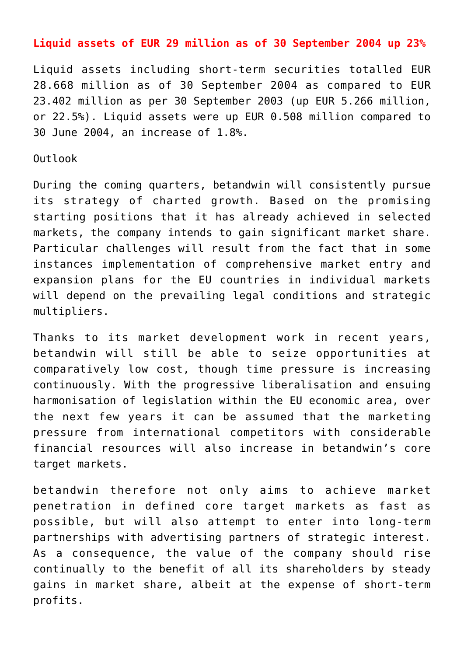#### **Liquid assets of EUR 29 million as of 30 September 2004 up 23%**

Liquid assets including short-term securities totalled EUR 28.668 million as of 30 September 2004 as compared to EUR 23.402 million as per 30 September 2003 (up EUR 5.266 million, or 22.5%). Liquid assets were up EUR 0.508 million compared to 30 June 2004, an increase of 1.8%.

#### Outlook

During the coming quarters, betandwin will consistently pursue its strategy of charted growth. Based on the promising starting positions that it has already achieved in selected markets, the company intends to gain significant market share. Particular challenges will result from the fact that in some instances implementation of comprehensive market entry and expansion plans for the EU countries in individual markets will depend on the prevailing legal conditions and strategic multipliers.

Thanks to its market development work in recent years, betandwin will still be able to seize opportunities at comparatively low cost, though time pressure is increasing continuously. With the progressive liberalisation and ensuing harmonisation of legislation within the EU economic area, over the next few years it can be assumed that the marketing pressure from international competitors with considerable financial resources will also increase in betandwin's core target markets.

betandwin therefore not only aims to achieve market penetration in defined core target markets as fast as possible, but will also attempt to enter into long-term partnerships with advertising partners of strategic interest. As a consequence, the value of the company should rise continually to the benefit of all its shareholders by steady gains in market share, albeit at the expense of short-term profits.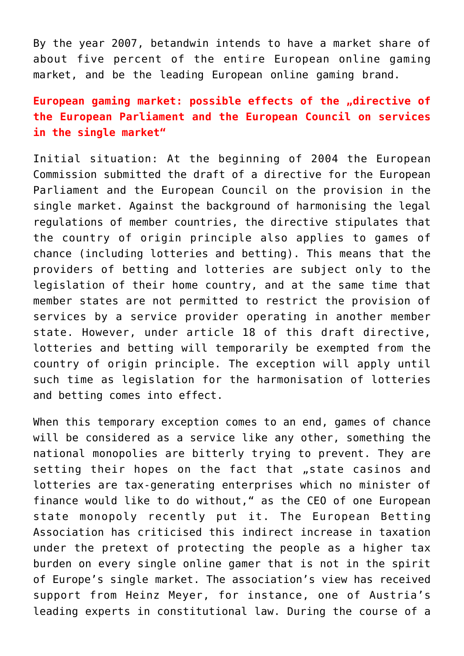By the year 2007, betandwin intends to have a market share of about five percent of the entire European online gaming market, and be the leading European online gaming brand.

# European gaming market: possible effects of the "directive of **the European Parliament and the European Council on services in the single market"**

Initial situation: At the beginning of 2004 the European Commission submitted the draft of a directive for the European Parliament and the European Council on the provision in the single market. Against the background of harmonising the legal regulations of member countries, the directive stipulates that the country of origin principle also applies to games of chance (including lotteries and betting). This means that the providers of betting and lotteries are subject only to the legislation of their home country, and at the same time that member states are not permitted to restrict the provision of services by a service provider operating in another member state. However, under article 18 of this draft directive, lotteries and betting will temporarily be exempted from the country of origin principle. The exception will apply until such time as legislation for the harmonisation of lotteries and betting comes into effect.

When this temporary exception comes to an end, games of chance will be considered as a service like any other, something the national monopolies are bitterly trying to prevent. They are setting their hopes on the fact that "state casinos and lotteries are tax-generating enterprises which no minister of finance would like to do without," as the CEO of one European state monopoly recently put it. The European Betting Association has criticised this indirect increase in taxation under the pretext of protecting the people as a higher tax burden on every single online gamer that is not in the spirit of Europe's single market. The association's view has received support from Heinz Meyer, for instance, one of Austria's leading experts in constitutional law. During the course of a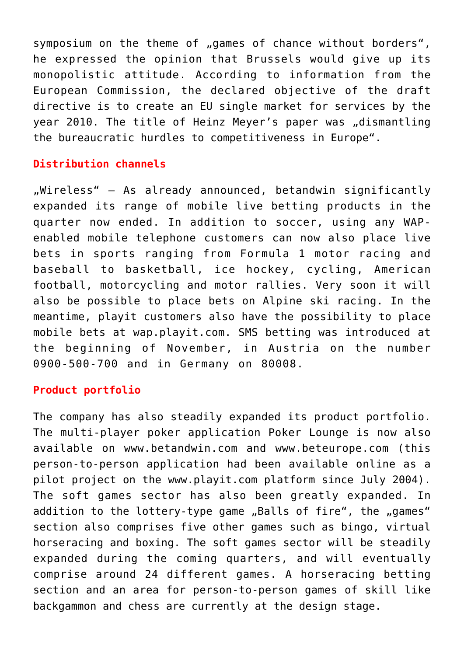symposium on the theme of "games of chance without borders", he expressed the opinion that Brussels would give up its monopolistic attitude. According to information from the European Commission, the declared objective of the draft directive is to create an EU single market for services by the year 2010. The title of Heinz Meyer's paper was "dismantling the bureaucratic hurdles to competitiveness in Europe".

# **Distribution channels**

 $M$ wireless" – As already announced, betandwin significantly expanded its range of mobile live betting products in the quarter now ended. In addition to soccer, using any WAPenabled mobile telephone customers can now also place live bets in sports ranging from Formula 1 motor racing and baseball to basketball, ice hockey, cycling, American football, motorcycling and motor rallies. Very soon it will also be possible to place bets on Alpine ski racing. In the meantime, playit customers also have the possibility to place mobile bets at wap.playit.com. SMS betting was introduced at the beginning of November, in Austria on the number 0900-500-700 and in Germany on 80008.

## **Product portfolio**

The company has also steadily expanded its product portfolio. The multi-player poker application Poker Lounge is now also available on www.betandwin.com and www.beteurope.com (this person-to-person application had been available online as a pilot project on the www.playit.com platform since July 2004). The soft games sector has also been greatly expanded. In addition to the lottery-type game "Balls of fire", the "games" section also comprises five other games such as bingo, virtual horseracing and boxing. The soft games sector will be steadily expanded during the coming quarters, and will eventually comprise around 24 different games. A horseracing betting section and an area for person-to-person games of skill like backgammon and chess are currently at the design stage.